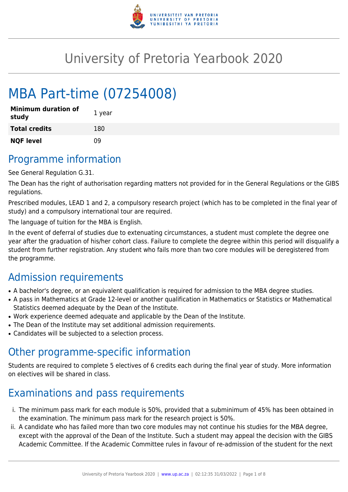

# University of Pretoria Yearbook 2020

# MBA Part-time (07254008)

| <b>Minimum duration of</b><br>study | 1 year |
|-------------------------------------|--------|
| <b>Total credits</b>                | 180    |
| <b>NQF level</b>                    | n۹     |

### Programme information

See General Regulation G.31.

The Dean has the right of authorisation regarding matters not provided for in the General Regulations or the GIBS regulations.

Prescribed modules, LEAD 1 and 2, a compulsory research project (which has to be completed in the final year of study) and a compulsory international tour are required.

The language of tuition for the MBA is English.

In the event of deferral of studies due to extenuating circumstances, a student must complete the degree one year after the graduation of his/her cohort class. Failure to complete the degree within this period will disqualify a student from further registration. Any student who fails more than two core modules will be deregistered from the programme.

## Admission requirements

- A bachelor's degree, or an equivalent qualification is required for admission to the MBA degree studies.
- A pass in Mathematics at Grade 12-level or another qualification in Mathematics or Statistics or Mathematical Statistics deemed adequate by the Dean of the Institute.
- Work experience deemed adequate and applicable by the Dean of the Institute.
- The Dean of the Institute may set additional admission requirements.
- Candidates will be subjected to a selection process.

## Other programme-specific information

Students are required to complete 5 electives of 6 credits each during the final year of study. More information on electives will be shared in class.

## Examinations and pass requirements

- i. The minimum pass mark for each module is 50%, provided that a subminimum of 45% has been obtained in the examination. The minimum pass mark for the research project is 50%.
- ii. A candidate who has failed more than two core modules may not continue his studies for the MBA degree, except with the approval of the Dean of the Institute. Such a student may appeal the decision with the GIBS Academic Committee. If the Academic Committee rules in favour of re-admission of the student for the next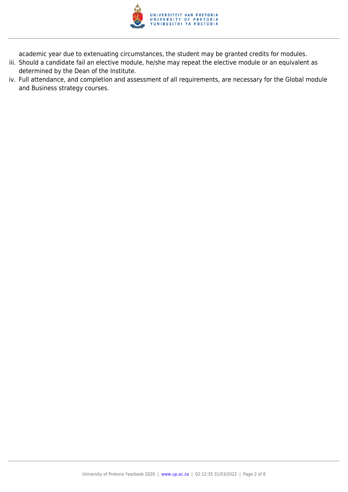

academic year due to extenuating circumstances, the student may be granted credits for modules.

- iii. Should a candidate fail an elective module, he/she may repeat the elective module or an equivalent as determined by the Dean of the Institute.
- iv. Full attendance, and completion and assessment of all requirements, are necessary for the Global module and Business strategy courses.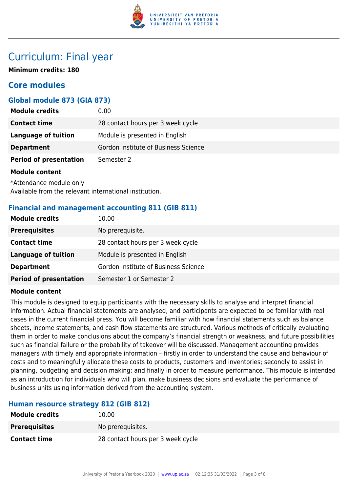

### Curriculum: Final year

**Minimum credits: 180**

### **Core modules**

#### **Global module 873 (GIA 873)**

| <b>Module credits</b>         | 0.00                                 |
|-------------------------------|--------------------------------------|
| <b>Contact time</b>           | 28 contact hours per 3 week cycle    |
| <b>Language of tuition</b>    | Module is presented in English       |
| <b>Department</b>             | Gordon Institute of Business Science |
| <b>Period of presentation</b> | Semester 2                           |
|                               |                                      |

#### **Module content**

\*Attendance module only Available from the relevant international institution.

#### **Financial and management accounting 811 (GIB 811)**

| <b>Module credits</b>         | 10.00                                |
|-------------------------------|--------------------------------------|
| <b>Prerequisites</b>          | No prerequisite.                     |
| <b>Contact time</b>           | 28 contact hours per 3 week cycle    |
| <b>Language of tuition</b>    | Module is presented in English       |
| <b>Department</b>             | Gordon Institute of Business Science |
| <b>Period of presentation</b> | Semester 1 or Semester 2             |

#### **Module content**

This module is designed to equip participants with the necessary skills to analyse and interpret financial information. Actual financial statements are analysed, and participants are expected to be familiar with real cases in the current financial press. You will become familiar with how financial statements such as balance sheets, income statements, and cash flow statements are structured. Various methods of critically evaluating them in order to make conclusions about the company's financial strength or weakness, and future possibilities such as financial failure or the probability of takeover will be discussed. Management accounting provides managers with timely and appropriate information – firstly in order to understand the cause and behaviour of costs and to meaningfully allocate these costs to products, customers and inventories; secondly to assist in planning, budgeting and decision making; and finally in order to measure performance. This module is intended as an introduction for individuals who will plan, make business decisions and evaluate the performance of business units using information derived from the accounting system.

#### **Human resource strategy 812 (GIB 812)**

| <b>Module credits</b> | 10.00                             |
|-----------------------|-----------------------------------|
| <b>Prerequisites</b>  | No prerequisites.                 |
| <b>Contact time</b>   | 28 contact hours per 3 week cycle |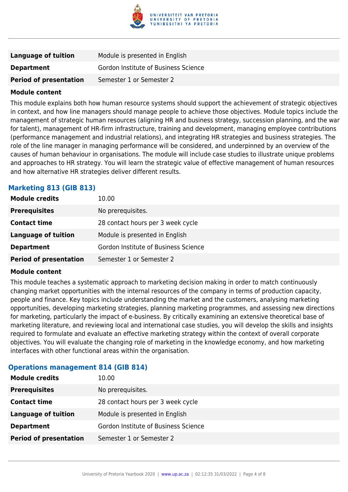

| Language of tuition           | Module is presented in English       |
|-------------------------------|--------------------------------------|
| <b>Department</b>             | Gordon Institute of Business Science |
| <b>Period of presentation</b> | Semester 1 or Semester 2             |

#### **Module content**

This module explains both how human resource systems should support the achievement of strategic objectives in context, and how line managers should manage people to achieve those objectives. Module topics include the management of strategic human resources (aligning HR and business strategy, succession planning, and the war for talent), management of HR-firm infrastructure, training and development, managing employee contributions (performance management and industrial relations), and integrating HR strategies and business strategies. The role of the line manager in managing performance will be considered, and underpinned by an overview of the causes of human behaviour in organisations. The module will include case studies to illustrate unique problems and approaches to HR strategy. You will learn the strategic value of effective management of human resources and how alternative HR strategies deliver different results.

#### **Marketing 813 (GIB 813)**

| <b>Module credits</b>         | 10.00                                |
|-------------------------------|--------------------------------------|
| <b>Prerequisites</b>          | No prerequisites.                    |
| <b>Contact time</b>           | 28 contact hours per 3 week cycle    |
| <b>Language of tuition</b>    | Module is presented in English       |
| <b>Department</b>             | Gordon Institute of Business Science |
| <b>Period of presentation</b> | Semester 1 or Semester 2             |

#### **Module content**

This module teaches a systematic approach to marketing decision making in order to match continuously changing market opportunities with the internal resources of the company in terms of production capacity, people and finance. Key topics include understanding the market and the customers, analysing marketing opportunities, developing marketing strategies, planning marketing programmes, and assessing new directions for marketing, particularly the impact of e-business. By critically examining an extensive theoretical base of marketing literature, and reviewing local and international case studies, you will develop the skills and insights required to formulate and evaluate an effective marketing strategy within the context of overall corporate objectives. You will evaluate the changing role of marketing in the knowledge economy, and how marketing interfaces with other functional areas within the organisation.

#### **Operations management 814 (GIB 814)**

| <b>Module credits</b>         | 10.00                                |
|-------------------------------|--------------------------------------|
| <b>Prerequisites</b>          | No prerequisites.                    |
| <b>Contact time</b>           | 28 contact hours per 3 week cycle    |
| <b>Language of tuition</b>    | Module is presented in English       |
| <b>Department</b>             | Gordon Institute of Business Science |
| <b>Period of presentation</b> | Semester 1 or Semester 2             |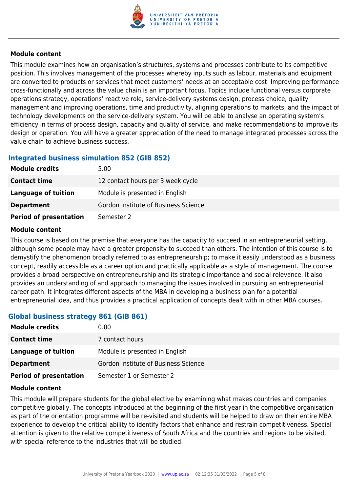

#### **Module content**

This module examines how an organisation's structures, systems and processes contribute to its competitive position. This involves management of the processes whereby inputs such as labour, materials and equipment are converted to products or services that meet customers' needs at an acceptable cost. Improving performance cross-functionally and across the value chain is an important focus. Topics include functional versus corporate operations strategy, operations' reactive role, service-delivery systems design, process choice, quality management and improving operations, time and productivity, aligning operations to markets, and the impact of technology developments on the service-delivery system. You will be able to analyse an operating system's efficiency in terms of process design, capacity and quality of service, and make recommendations to improve its design or operation. You will have a greater appreciation of the need to manage integrated processes across the value chain to achieve business success.

#### **Integrated business simulation 852 (GIB 852)**

| <b>Module credits</b>         | 5.00                                 |
|-------------------------------|--------------------------------------|
| <b>Contact time</b>           | 12 contact hours per 3 week cycle    |
| Language of tuition           | Module is presented in English       |
| <b>Department</b>             | Gordon Institute of Business Science |
| <b>Period of presentation</b> | Semester 2                           |

#### **Module content**

This course is based on the premise that everyone has the capacity to succeed in an entrepreneurial setting, although some people may have a greater propensity to succeed than others. The intention of this course is to demystify the phenomenon broadly referred to as entrepreneurship; to make it easily understood as a business concept, readily accessible as a career option and practically applicable as a style of management. The course provides a broad perspective on entrepreneurship and its strategic importance and social relevance. It also provides an understanding of and approach to managing the issues involved in pursuing an entrepreneurial career path. It integrates different aspects of the MBA in developing a business plan for a potential entrepreneurial idea, and thus provides a practical application of concepts dealt with in other MBA courses.

#### **Global business strategy 861 (GIB 861)**

| <b>Module credits</b>         | 0.00                                 |
|-------------------------------|--------------------------------------|
| <b>Contact time</b>           | 7 contact hours                      |
| Language of tuition           | Module is presented in English       |
| <b>Department</b>             | Gordon Institute of Business Science |
| <b>Period of presentation</b> | Semester 1 or Semester 2             |

#### **Module content**

This module will prepare students for the global elective by examining what makes countries and companies competitive globally. The concepts introduced at the beginning of the first year in the competitive organisation as part of the orientation programme will be re-visited and students will be helped to draw on their entire MBA experience to develop the critical ability to identify factors that enhance and restrain competitiveness. Special attention is given to the relative competitiveness of South Africa and the countries and regions to be visited, with special reference to the industries that will be studied.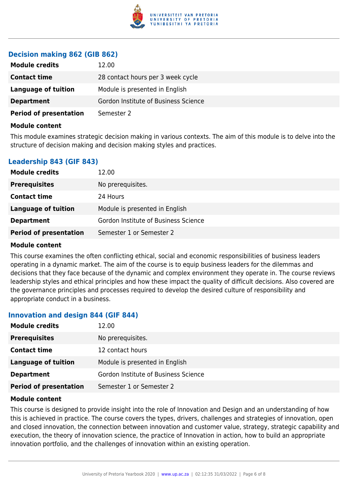

#### **Decision making 862 (GIB 862)**

| <b>Module credits</b>         | 12.00                                |
|-------------------------------|--------------------------------------|
| <b>Contact time</b>           | 28 contact hours per 3 week cycle    |
| Language of tuition           | Module is presented in English       |
| <b>Department</b>             | Gordon Institute of Business Science |
| <b>Period of presentation</b> | Semester 2                           |

#### **Module content**

This module examines strategic decision making in various contexts. The aim of this module is to delve into the structure of decision making and decision making styles and practices.

#### **Leadership 843 (GIF 843)**

| <b>Module credits</b>         | 12.00                                |
|-------------------------------|--------------------------------------|
| <b>Prerequisites</b>          | No prerequisites.                    |
| <b>Contact time</b>           | 24 Hours                             |
| Language of tuition           | Module is presented in English       |
| <b>Department</b>             | Gordon Institute of Business Science |
| <b>Period of presentation</b> | Semester 1 or Semester 2             |

#### **Module content**

This course examines the often conflicting ethical, social and economic responsibilities of business leaders operating in a dynamic market. The aim of the course is to equip business leaders for the dilemmas and decisions that they face because of the dynamic and complex environment they operate in. The course reviews leadership styles and ethical principles and how these impact the quality of difficult decisions. Also covered are the governance principles and processes required to develop the desired culture of responsibility and appropriate conduct in a business.

#### **Innovation and design 844 (GIF 844)**

| <b>Module credits</b>         | 12.00                                |
|-------------------------------|--------------------------------------|
| <b>Prerequisites</b>          | No prerequisites.                    |
| <b>Contact time</b>           | 12 contact hours                     |
| <b>Language of tuition</b>    | Module is presented in English       |
| <b>Department</b>             | Gordon Institute of Business Science |
| <b>Period of presentation</b> | Semester 1 or Semester 2             |

#### **Module content**

This course is designed to provide insight into the role of Innovation and Design and an understanding of how this is achieved in practice. The course covers the types, drivers, challenges and strategies of innovation, open and closed innovation, the connection between innovation and customer value, strategy, strategic capability and execution, the theory of innovation science, the practice of Innovation in action, how to build an appropriate innovation portfolio, and the challenges of innovation within an existing operation.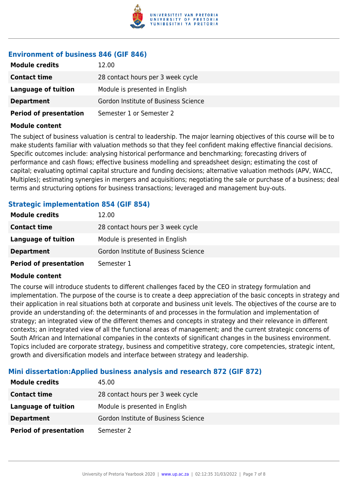

### **Environment of business 846 (GIF 846)**

| <b>Module credits</b>         | 12.00                                |
|-------------------------------|--------------------------------------|
| <b>Contact time</b>           | 28 contact hours per 3 week cycle    |
| Language of tuition           | Module is presented in English       |
| <b>Department</b>             | Gordon Institute of Business Science |
| <b>Period of presentation</b> | Semester 1 or Semester 2             |

#### **Module content**

The subject of business valuation is central to leadership. The major learning objectives of this course will be to make students familiar with valuation methods so that they feel confident making effective financial decisions. Specific outcomes include: analysing historical performance and benchmarking; forecasting drivers of performance and cash flows; effective business modelling and spreadsheet design; estimating the cost of capital; evaluating optimal capital structure and funding decisions; alternative valuation methods (APV, WACC, Multiples); estimating synergies in mergers and acquisitions; negotiating the sale or purchase of a business; deal terms and structuring options for business transactions; leveraged and management buy-outs.

#### **Strategic implementation 854 (GIF 854)**

| <b>Module credits</b>         | 12.00                                |
|-------------------------------|--------------------------------------|
| <b>Contact time</b>           | 28 contact hours per 3 week cycle    |
| Language of tuition           | Module is presented in English       |
| <b>Department</b>             | Gordon Institute of Business Science |
| <b>Period of presentation</b> | Semester 1                           |

#### **Module content**

The course will introduce students to different challenges faced by the CEO in strategy formulation and implementation. The purpose of the course is to create a deep appreciation of the basic concepts in strategy and their application in real situations both at corporate and business unit levels. The objectives of the course are to provide an understanding of: the determinants of and processes in the formulation and implementation of strategy; an integrated view of the different themes and concepts in strategy and their relevance in different contexts; an integrated view of all the functional areas of management; and the current strategic concerns of South African and International companies in the contexts of significant changes in the business environment. Topics included are corporate strategy, business and competitive strategy, core competencies, strategic intent, growth and diversification models and interface between strategy and leadership.

#### **Mini dissertation:Applied business analysis and research 872 (GIF 872)**

| <b>Module credits</b>         | 45.00                                |
|-------------------------------|--------------------------------------|
| <b>Contact time</b>           | 28 contact hours per 3 week cycle    |
| Language of tuition           | Module is presented in English       |
| <b>Department</b>             | Gordon Institute of Business Science |
| <b>Period of presentation</b> | Semester 2                           |